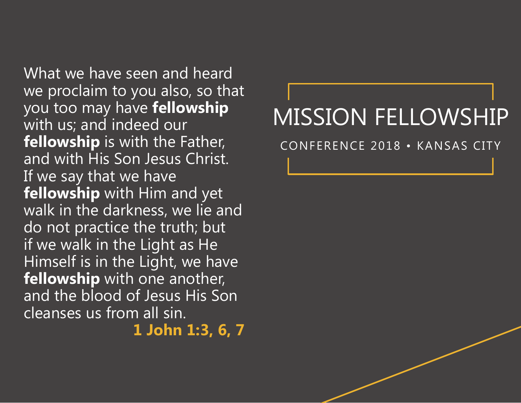What we have seen and heard we proclaim to you also, so that you too may have **fellowship** with us; and indeed our **fellowship** is with the Father, and with His Son Jesus Christ. If we say that we have **fellowship** with Him and yet walk in the darkness, we lie and do not practice the truth; but if we walk in the Light as He Himself is in the Light, we have **fellowship** with one another, and the blood of Jesus His Son cleanses us from all sin.

**1 John 1:3, 6, 7**

## MISSION FELLOWSHIP

CONFERENCE 2018 • KANSAS CITY